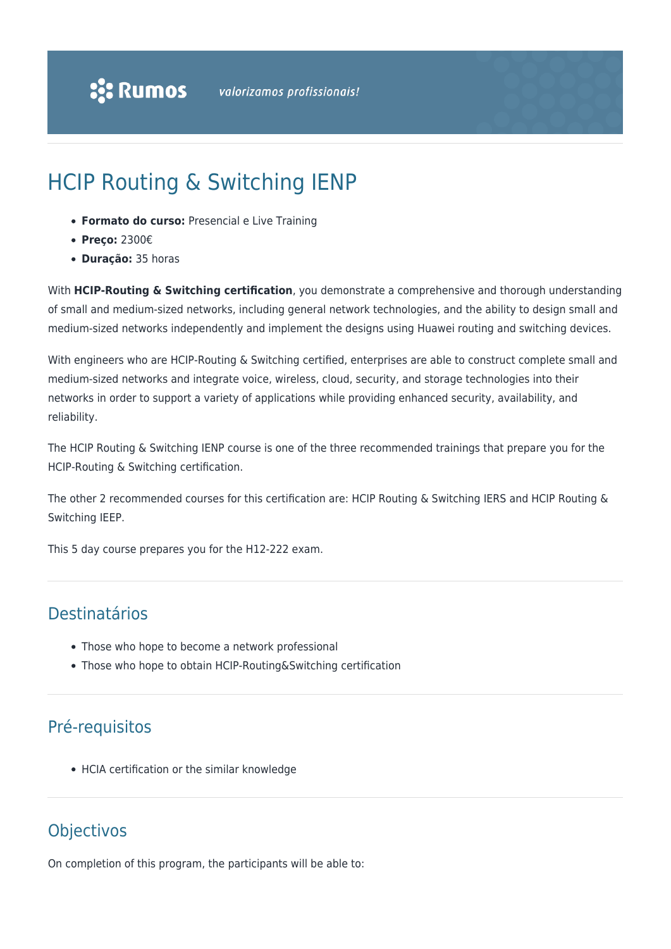# HCIP Routing & Switching IENP

- **Formato do curso:** Presencial e Live Training
- **Preço:** 2300€
- **Duração:** 35 horas

With **HCIP-Routing & Switching certification**, you demonstrate a comprehensive and thorough understanding of small and medium-sized networks, including general network technologies, and the ability to design small and medium-sized networks independently and implement the designs using Huawei routing and switching devices.

With engineers who are HCIP-Routing & Switching certified, enterprises are able to construct complete small and medium-sized networks and integrate voice, wireless, cloud, security, and storage technologies into their networks in order to support a variety of applications while providing enhanced security, availability, and reliability.

The HCIP Routing & Switching IENP course is one of the three recommended trainings that prepare you for the HCIP-Routing & Switching certification.

The other 2 recommended courses for this certification are: HCIP Routing & Switching IERS and HCIP Routing & Switching IEEP.

This 5 day course prepares you for the H12-222 exam.

## Destinatários

- Those who hope to become a network professional
- Those who hope to obtain HCIP-Routing&Switching certification

# Pré-requisitos

HCIA certification or the similar knowledge

## **Objectivos**

On completion of this program, the participants will be able to: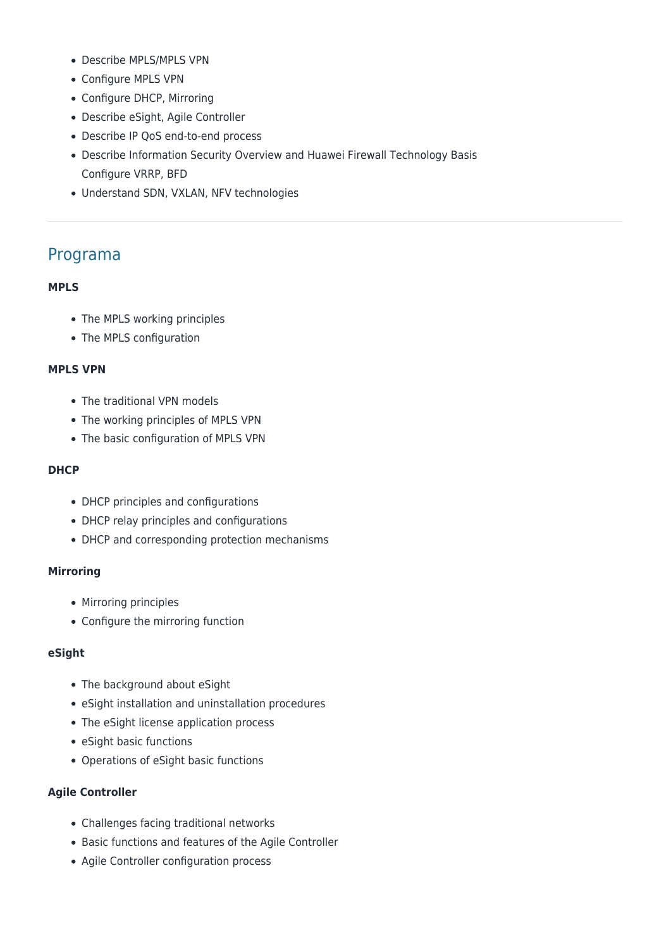- Describe MPLS/MPLS VPN
- Configure MPLS VPN
- Configure DHCP, Mirroring
- Describe eSight, Agile Controller
- Describe IP QoS end-to-end process
- Describe Information Security Overview and Huawei Firewall Technology Basis Configure VRRP, BFD
- Understand SDN, VXLAN, NFV technologies

### Programa

#### **MPLS**

- The MPLS working principles
- The MPLS configuration

#### **MPLS VPN**

- The traditional VPN models
- The working principles of MPLS VPN
- The basic configuration of MPLS VPN

#### **DHCP**

- DHCP principles and configurations
- DHCP relay principles and configurations
- DHCP and corresponding protection mechanisms

#### **Mirroring**

- Mirroring principles
- Configure the mirroring function

#### **eSight**

- The background about eSight
- eSight installation and uninstallation procedures
- The eSight license application process
- eSight basic functions
- Operations of eSight basic functions

#### **Agile Controller**

- Challenges facing traditional networks
- Basic functions and features of the Agile Controller
- Agile Controller configuration process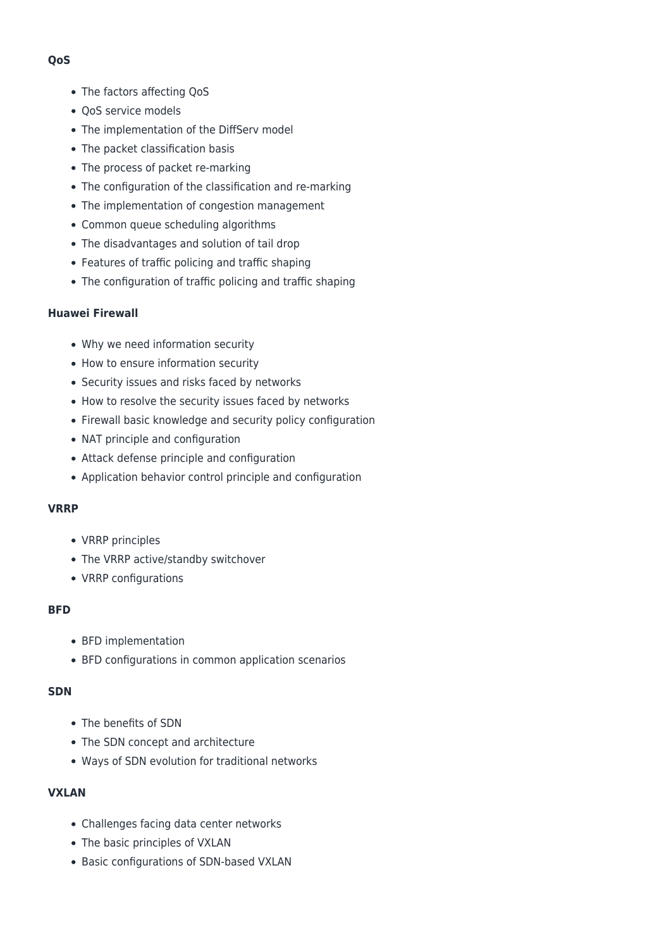#### • The factors affecting QoS

- OoS service models
- The implementation of the DiffServ model
- The packet classification basis
- The process of packet re-marking
- The configuration of the classification and re-marking
- The implementation of congestion management
- Common queue scheduling algorithms
- The disadvantages and solution of tail drop
- Features of traffic policing and traffic shaping
- The configuration of traffic policing and traffic shaping

#### **Huawei Firewall**

- Why we need information security
- How to ensure information security
- Security issues and risks faced by networks
- How to resolve the security issues faced by networks
- Firewall basic knowledge and security policy configuration
- NAT principle and configuration
- Attack defense principle and configuration
- Application behavior control principle and configuration

#### **VRRP**

- VRRP principles
- The VRRP active/standby switchover
- VRRP configurations

#### **BFD**

- BFD implementation
- BFD configurations in common application scenarios

#### **SDN**

- The benefits of SDN
- The SDN concept and architecture
- Ways of SDN evolution for traditional networks

#### **VXLAN**

- Challenges facing data center networks
- The basic principles of VXLAN
- Basic configurations of SDN-based VXLAN

#### **QoS**